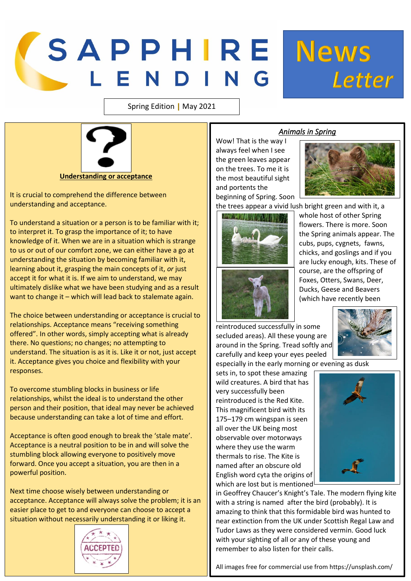## SAPPHIRE News

Spring Edition | May 2021



It is crucial to comprehend the difference between understanding and acceptance.

To understand a situation or a person is to be familiar with it; to interpret it. To grasp the importance of it; to have knowledge of it. When we are in a situation which is strange to us or out of our comfort zone, we can either have a go at understanding the situation by becoming familiar with it, learning about it, grasping the main concepts of it, *or* just accept it for what it is. If we aim to understand, we may ultimately dislike what we have been studying and as a result want to change it – which will lead back to stalemate again.

The choice between understanding or acceptance is crucial to relationships. Acceptance means "receiving something offered". In other words, simply accepting what is already there. No questions; no changes; no attempting to understand. The situation is as it is. Like it or not, just accept it. Acceptance gives you choice and flexibility with your responses.

To overcome stumbling blocks in business or life relationships, whilst the ideal is to understand the other person and their position, that ideal may never be achieved because understanding can take a lot of time and effort.

Acceptance is often good enough to break the 'stale mate'. Acceptance is a neutral position to be in and will solve the stumbling block allowing everyone to positively move forward. Once you accept a situation, you are then in a powerful position.

Next time choose wisely between understanding or acceptance. Acceptance will always solve the problem; it is an easier place to get to and everyone can choose to accept a situation without necessarily understanding it or liking it.



## *Animals in Spring*

Wow! That is the way I always feel when I see the green leaves appear on the trees. To me it is the most beautiful sight and portents the beginning of Spring. Soon



Letter

the trees appear a vivid lush bright green and with it, a



whole host of other Spring flowers. There is more. Soon the Spring animals appear. The cubs, pups, cygnets, fawns, chicks, and goslings and if you are lucky enough, kits. These of course, are the offspring of Foxes, Otters, Swans, Deer, Ducks, Geese and Beavers (which have recently been

reintroduced successfully in some secluded areas). All these young are around in the Spring. Tread softly and carefully and keep your eyes peeled

especially in the early morning or evening as dusk

sets in, to spot these amazing wild creatures. A bird that has very successfully been reintroduced is the Red Kite. This magnificent bird with its 175–179 cm wingspan is seen all over the UK being most observable over motorways where they use the warm thermals to rise. The Kite is named after an obscure old English word cyta the origins of which are lost but is mentioned



in Geoffrey Chaucer's Knight's Tale. The modern flying kite with a string is named after the bird (probably). It is amazing to think that this formidable bird was hunted to near extinction from the UK under Scottish Regal Law and Tudor Laws as they were considered vermin. Good luck with your sighting of all or any of these young and remember to also listen for their calls.